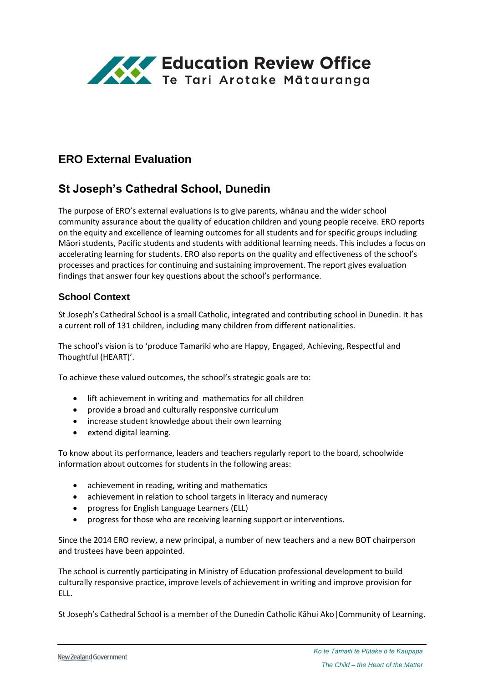

# **ERO External Evaluation**

# **St Joseph's Cathedral School, Dunedin**

The purpose of ERO's external evaluations is to give parents, whānau and the wider school community assurance about the quality of education children and young people receive. ERO reports on the equity and excellence of learning outcomes for all students and for specific groups including Māori students, Pacific students and students with additional learning needs. This includes a focus on accelerating learning for students. ERO also reports on the quality and effectiveness of the school's processes and practices for continuing and sustaining improvement. The report gives evaluation findings that answer four key questions about the school's performance.

### **School Context**

St Joseph's Cathedral School is a small Catholic, integrated and contributing school in Dunedin. It has a current roll of 131 children, including many children from different nationalities.

The school's vision is to 'produce Tamariki who are Happy, Engaged, Achieving, Respectful and Thoughtful (HEART)'.

To achieve these valued outcomes, the school's strategic goals are to:

- lift achievement in writing and mathematics for all children
- provide a broad and culturally responsive curriculum
- increase student knowledge about their own learning
- extend digital learning.

To know about its performance, leaders and teachers regularly report to the board, schoolwide information about outcomes for students in the following areas:

- achievement in reading, writing and mathematics
- achievement in relation to school targets in literacy and numeracy
- progress for English Language Learners (ELL)
- progress for those who are receiving learning support or interventions.

Since the 2014 ERO review, a new principal, a number of new teachers and a new BOT chairperson and trustees have been appointed.

The school is currently participating in Ministry of Education professional development to build culturally responsive practice, improve levels of achievement in writing and improve provision for ELL.

St Joseph's Cathedral School is a member of the Dunedin Catholic Kāhui Ako|Community of Learning.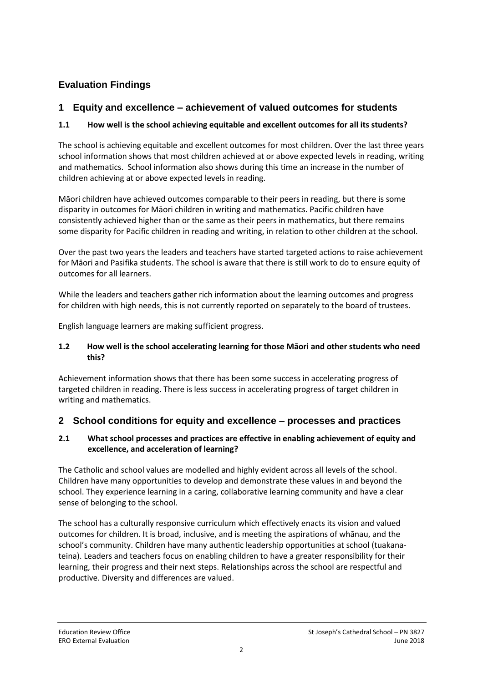## **Evaluation Findings**

## **1 Equity and excellence – achievement of valued outcomes for students**

### **1.1 How well is the school achieving equitable and excellent outcomes for all its students?**

The school is achieving equitable and excellent outcomes for most children. Over the last three years school information shows that most children achieved at or above expected levels in reading, writing and mathematics. School information also shows during this time an increase in the number of children achieving at or above expected levels in reading.

Māori children have achieved outcomes comparable to their peers in reading, but there is some disparity in outcomes for Māori children in writing and mathematics. Pacific children have consistently achieved higher than or the same as their peers in mathematics, but there remains some disparity for Pacific children in reading and writing, in relation to other children at the school.

Over the past two years the leaders and teachers have started targeted actions to raise achievement for Māori and Pasifika students. The school is aware that there is still work to do to ensure equity of outcomes for all learners.

While the leaders and teachers gather rich information about the learning outcomes and progress for children with high needs, this is not currently reported on separately to the board of trustees.

English language learners are making sufficient progress.

#### **1.2 How well is the school accelerating learning for those Māori and other students who need this?**

Achievement information shows that there has been some success in accelerating progress of targeted children in reading. There is less success in accelerating progress of target children in writing and mathematics.

### **2 School conditions for equity and excellence – processes and practices**

#### **2.1 What school processes and practices are effective in enabling achievement of equity and excellence, and acceleration of learning?**

The Catholic and school values are modelled and highly evident across all levels of the school. Children have many opportunities to develop and demonstrate these values in and beyond the school. They experience learning in a caring, collaborative learning community and have a clear sense of belonging to the school.

The school has a culturally responsive curriculum which effectively enacts its vision and valued outcomes for children. It is broad, inclusive, and is meeting the aspirations of whānau, and the school's community. Children have many authentic leadership opportunities at school (tuakanateina). Leaders and teachers focus on enabling children to have a greater responsibility for their learning, their progress and their next steps. Relationships across the school are respectful and productive. Diversity and differences are valued.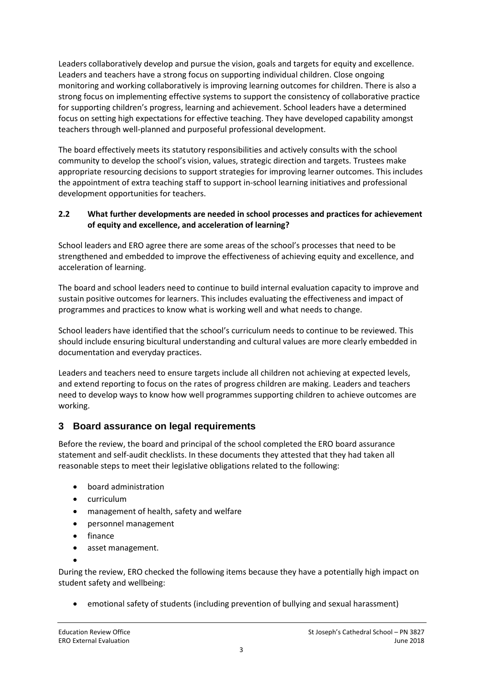Leaders collaboratively develop and pursue the vision, goals and targets for equity and excellence. Leaders and teachers have a strong focus on supporting individual children. Close ongoing monitoring and working collaboratively is improving learning outcomes for children. There is also a strong focus on implementing effective systems to support the consistency of collaborative practice for supporting children's progress, learning and achievement. School leaders have a determined focus on setting high expectations for effective teaching. They have developed capability amongst teachers through well-planned and purposeful professional development.

The board effectively meets its statutory responsibilities and actively consults with the school community to develop the school's vision, values, strategic direction and targets. Trustees make appropriate resourcing decisions to support strategies for improving learner outcomes. This includes the appointment of extra teaching staff to support in-school learning initiatives and professional development opportunities for teachers.

#### **2.2 What further developments are needed in school processes and practices for achievement of equity and excellence, and acceleration of learning?**

School leaders and ERO agree there are some areas of the school's processes that need to be strengthened and embedded to improve the effectiveness of achieving equity and excellence, and acceleration of learning.

The board and school leaders need to continue to build internal evaluation capacity to improve and sustain positive outcomes for learners. This includes evaluating the effectiveness and impact of programmes and practices to know what is working well and what needs to change.

School leaders have identified that the school's curriculum needs to continue to be reviewed. This should include ensuring bicultural understanding and cultural values are more clearly embedded in documentation and everyday practices.

Leaders and teachers need to ensure targets include all children not achieving at expected levels, and extend reporting to focus on the rates of progress children are making. Leaders and teachers need to develop ways to know how well programmes supporting children to achieve outcomes are working.

### **3 Board assurance on legal requirements**

Before the review, the board and principal of the school completed the ERO board assurance statement and self-audit checklists. In these documents they attested that they had taken all reasonable steps to meet their legislative obligations related to the following:

- board administration
- curriculum
- management of health, safety and welfare
- personnel management
- finance
- asset management.
- $\bullet$

During the review, ERO checked the following items because they have a potentially high impact on student safety and wellbeing:

emotional safety of students (including prevention of bullying and sexual harassment)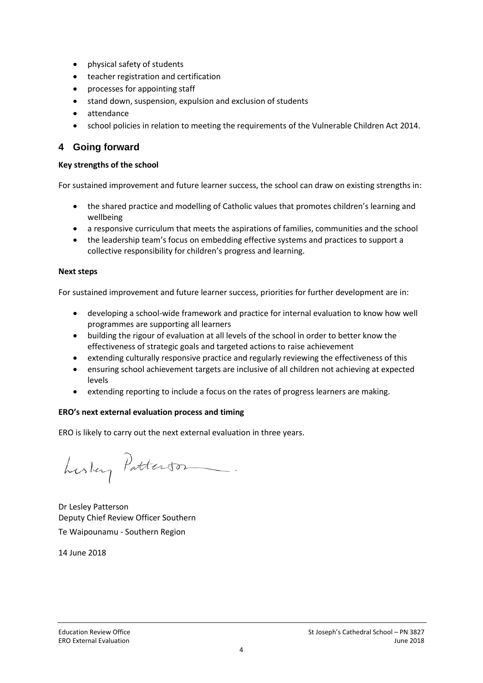- physical safety of students
- teacher registration and certification
- processes for appointing staff
- stand down, suspension, expulsion and exclusion of students
- attendance
- school policies in relation to meeting the requirements of the Vulnerable Children Act 2014.

### **4 Going forward**

#### **Key strengths of the school**

For sustained improvement and future learner success, the school can draw on existing strengths in:

- the shared practice and modelling of Catholic values that promotes children's learning and wellbeing
- a responsive curriculum that meets the aspirations of families, communities and the school
- the leadership team's focus on embedding effective systems and practices to support a collective responsibility for children's progress and learning.

#### **Next steps**

For sustained improvement and future learner success, priorities for further development are in:

- developing a school-wide framework and practice for internal evaluation to know how well programmes are supporting all learners
- building the rigour of evaluation at all levels of the school in order to better know the effectiveness of strategic goals and targeted actions to raise achievement
- extending culturally responsive practice and regularly reviewing the effectiveness of this
- ensuring school achievement targets are inclusive of all children not achieving at expected levels
- extending reporting to include a focus on the rates of progress learners are making.

#### **ERO's next external evaluation process and timing**

ERO is likely to carry out the next external evaluation in three years.

Luslay Patterson

Dr Lesley Patterson Deputy Chief Review Officer Southern Te Waipounamu - Southern Region

14 June 2018